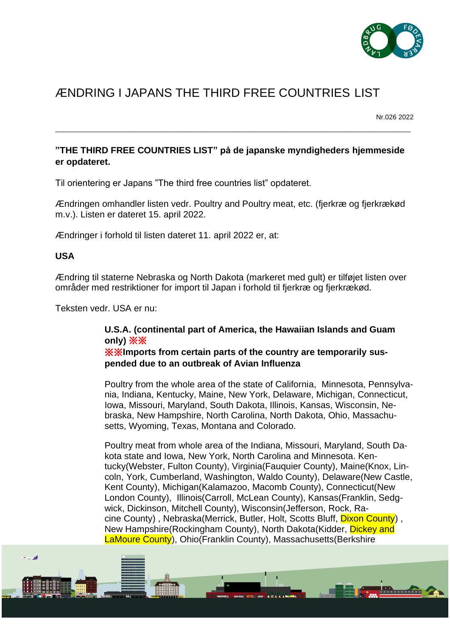

# ÆNDRING I JAPANS THE THIRD FREE COUNTRIES LIST

Nr.026 2022

## **"THE THIRD FREE COUNTRIES LIST" på de japanske myndigheders hjemmeside er opdateret.**

\_\_\_\_\_\_\_\_\_\_\_\_\_\_\_\_\_\_\_\_\_\_\_\_\_\_\_\_\_\_\_\_\_\_\_\_\_\_\_\_\_\_\_\_\_\_\_\_\_\_\_\_\_\_\_\_\_\_\_\_\_\_\_\_\_\_\_\_\_\_\_\_\_\_\_\_\_\_\_\_\_\_\_\_\_\_\_\_\_\_\_\_\_\_

Til orientering er Japans "The third free countries list" opdateret.

Ændringen omhandler listen vedr. Poultry and Poultry meat, etc. (fjerkræ og fjerkrækød m.v.). Listen er dateret 15. april 2022.

Ændringer i forhold til listen dateret 11. april 2022 er, at:

### **USA**

Ændring til staterne Nebraska og North Dakota (markeret med gult) er tilføjet listen over områder med restriktioner for import til Japan i forhold til fjerkræ og fjerkrækød.

Teksten vedr. USA er nu:

## **U.S.A. (continental part of America, the Hawaiian Islands and Guam only)** ※※

※※**Imports from certain parts of the country are temporarily suspended due to an outbreak of Avian Influenza**

Poultry from the whole area of the state of California, Minnesota, Pennsylvania, Indiana, Kentucky, Maine, New York, Delaware, Michigan, Connecticut, Iowa, Missouri, Maryland, South Dakota, Illinois, Kansas, Wisconsin, Nebraska, New Hampshire, North Carolina, North Dakota, Ohio, Massachusetts, Wyoming, Texas, Montana and Colorado.

Poultry meat from whole area of the Indiana, Missouri, Maryland, South Dakota state and Iowa, New York, North Carolina and Minnesota. Kentucky(Webster, Fulton County), Virginia(Fauquier County), Maine(Knox, Lincoln, York, Cumberland, Washington, Waldo County), Delaware(New Castle, Kent County), Michigan(Kalamazoo, Macomb County), Connecticut(New London County), Illinois(Carroll, McLean County), Kansas(Franklin, Sedgwick, Dickinson, Mitchell County), Wisconsin(Jefferson, Rock, Racine County) , Nebraska(Merrick, Butler, Holt, Scotts Bluff, Dixon County) , New Hampshire(Rockingham County), North Dakota(Kidder, Dickey and LaMoure County), Ohio(Franklin County), Massachusetts(Berkshire